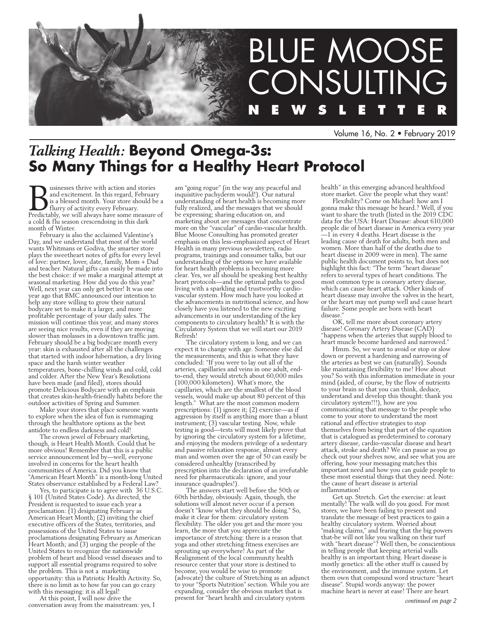

Volume 16, No. 2 • February 2019

# *Talking Health:* **Beyond Omega-3s: So Many Things for a Healthy Heart Protocol**

**Businesses thrive with action and stories** and excitement. In this regard, February is a blessed month. Your store should be a flurry of activity every February.<br>Predictably, we will always have some measure of and excitement. In this regard, February is a blessed month. Your store should be a flurry of activity every February. a cold & flu season crescendoing in this dark month of Winter.

February is also the acclaimed Valentine's Day, and we understand that most of the world wants Whitmans or Godiva, the smarter store plays the sweetheart notes of gifts for every level of love: partner, lover, date, family, Mom + Dad and teacher. Natural gifts can easily be made into the best choice: if we make a marginal attempt at seasonal marketing. How did you do this year? Well, next year can only get better! It was one year ago that BMC announced our intention to help any store willing to grow their natural bodycare set to make it a larger, and more profitable percentage of your daily sales. The mission will continue this year, and many stores are seeing nice results, even if they are moving slower than molasses in a downtown traffic jam. February should be a big bodycare month every year: skin is exhausted after all the challenges that started with indoor hibernation, a dry living space and the harsh winter weather temperatures, bone-chilling winds and cold, cold and colder. After the New Year's Resolutions have been made (and filed), stores should promote Delicious Bodycare with an emphasis that creates skin-health-friendly habits before the outdoor activities of Spring and Summer.

Make your stores that place someone wants to explore when the idea of fun is rummaging through the healthstore options as the best antidote to endless darkness and cold!

The crown jewel of February marketing, though, is Heart Health Month. Could that be more obvious! Remember that this is a public service announcement led by—well, everyone involved in concerns for the heart health communities of America. Did you know that "American Heart Month" is a month-long United States observance established by a Federal Law?

Yes, to participate is to agree with 36 U.S.C. § 101 (United States Code). As directed, the President is requested to issue each year a proclamation: (1) designating February as American Heart Month; (2) inviting the chief executive officers of the States, territories, and possessions of the United States to issue proclamations designating February as American Heart Month; and (3) urging the people of the United States to recognize the nationwide problem of heart and blood vessel diseases and to support all essential programs required to solve the problem. This is not a marketing opportunity: this is Patriotic Health Activity. So, there is no limit as to how far you can go crazy with this messaging: it is all legal!

At this point, I will now drive the conversation away from the mainstream: yes, I

am "going rogue" (in the way any peaceful and inquisitive pachyderm would!). Our natural understanding of heart health is becoming more fully realized, and the messages that we should be expressing; sharing education on, and marketing about are messages that concentrate more on the "vascular" of cardio-vascular health. Blue Moose Consulting has promoted greater emphasis on this less-emphasized aspect of Heart Health in many previous newsletters, radio programs, trainings and consumer talks, but our understanding of the options we have available for heart health problems is becoming more clear. Yes, we all should be speaking best healthy heart protocols—and the optimal paths to good living with a sparkling and trustworthy cardiovascular system. How much have you looked at the advancements in nutritional science, and how closely have you listened to the new exciting advancements in our understanding of the key components to circulatory health? It is with the Circulatory System that we will start our 2019 Refresh!

The circulatory system is long, and we can expect it to change with age. Someone else did the measurements, and this is what they have concluded: "If you were to lay out all of the arteries, capillaries and veins in one adult, endto-end, they would stretch about 60,000 miles (100,000 kilometers). What's more, the capillaries, which are the smallest of the blood vessels, would make up about 80 percent of this length." What are the most common modern prescriptions: (1) ignore it; (2) exercise—as if aggression by itself is anything more than a blunt instrument; (3) vascular testing. Now, while testing is good—tests will most likely prove that by ignoring the circulatory system for a lifetime, and enjoying the modern privilege of a sedentary and passive relaxation response, almost every man and women over the age of 50 can easily be considered unhealthy (transcribed by prescription into the declaration of an irrefutable need for pharmaceuticals: ignore, and your insurance quadruples!).

The answers start well before the 50th or 60th birthday, obviously. Again, though, the solutions will almost never occur if a person doesn't "know what they should be doing." So, make it clear for them: circulatory system flexibility. The older you get and the more you learn, the more that you appreciate the importance of stretching: there is a reason that yoga and other stretching fitness exercises are sprouting up everywhere! As part of the Realignment of the local community health resource center that your store is destined to become, you would be wise to promote (advocate) the culture of Stretching as an adjunct to your "Sports Nutrition" section. While you are expanding, consider the obvious market that is present for "heart health and circulatory system

health" in this emerging advanced healthfood store market. Give the people what they want!

Flexibility? Come on Michael: how am I gonna make this message be heard.? Well, if you want to share the truth (listed in the 2019 CDC data for the USA: Heart Disease: about 610,000 people die of heart disease in America every year —1 in every 4 deaths. Heart disease is the leading cause of death for adults, both men and women. More than half of the deaths due to heart disease in 2009 were in men). The same public health document points to, but does not highlight this fact: "The term "heart disease refers to several types of heart conditions. The most common type is coronary artery disease, which can cause heart attack. Other kinds of heart disease may involve the valves in the heart, or the heart may not pump well and cause heart failure. Some people are born with heart disease.

OK, tell me more about coronary artery disease! Coronary Artery Disease (CAD) "happens when the arteries that supply blood to heart muscle become hardened and narrowed.

Hmm. So, we want to avoid or stop or slow down or prevent a hardening and narrowing of the arteries as best we can (naturally). Sounds like maintaining flexibility to me! How about you? So with this information immediate in your mind (aided, of course, by the flow of nutrients to your brain so that you can think, deduce, understand and develop this thought: thank you circulatory system!!!), how are you communicating that message to the people who come to your store to understand the most rational and effective strategies to stop themselves from being that part of the equation that is catalogued as predetermined to coronary artery disease, cardio-vascular disease and heart attack, stroke and death? We can pause as you go check out your shelves now, and see what you are offering, how your messaging matches this important need and how you can guide people to these most essential things that they need. Note: the cause of heart disease is arterial inflammation!

Get up. Stretch. Get the exercise: at least mentally! The walk will do you good. For most stores, we have been failing to present and translate the message of best practices to gain a healthy circulatory system. Worried about "making claims," and fearing that the big powers that-be will not like you walking on their turf with "heart disease"? Well then, be conscientious in telling people that keeping arterial walls healthy is an important thing. Heart disease is mostly genetics: all the other stuff is caused by the environment, and the immune system. Let them own that compound word structure "heart disease". Stupid words anyway: the power machine heart is never at ease! There are heart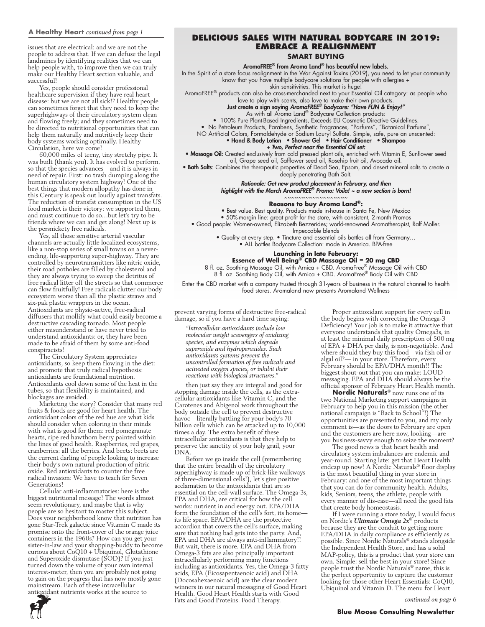#### **A Healthy Heart** *continued from page 1*

issues that are electrical: and we are not the people to address that. If we can defuse the legal landmines by identifying realities that we can help people with, to improve then we can truly make our Healthy Heart section valuable, and successful!

Yes, people should consider professional healthcare supervision if they have real heart disease: but we are not all sick!? Healthy people can sometimes forget that they need to keep the superhighways of their circulatory system clean and flowing freely; and they sometimes need to be directed to nutritional opportunities that can help them naturally and nutritively keep their body systems working optimally. Healthy Circulation, here we come!

60,000 miles of teeny, tiny stretchy pipe. It was built (thank you). It has evolved to perform, so that the species advances—and it is always in need of repair. First: no trash dumping along the human circulatory system highway! One of the best things that modern allopathy has done in this Century is speak out loudly against transfats. The reduction of transfat consumption in the US food market is their victory: we supported them, and must continue to do so…but let's try to be friends where we can and get along! Next up is the persnickety free radicals.

Yes, all those sensitive arterial vascular channels are actually little localized ecosystems, like a non-stop series of small towns on a neverending, life-supporting super-highway. They are controlled by neurotransmitters like nitric oxide, their road potholes are filled by cholesterol and they are always trying to sweep the detritus of free radical litter off the streets so that commerce can flow fruitfully! Free radicals clutter our body ecosystem worse than all the plastic straws and six-pak plastic wrappers in the ocean. Antioxidants are physio-active, free-radical diffusers that mollify what could easily become a destructive cascading tornado. Most people either misunderstand or have never tried to understand antioxidants: or, they have been made to be afraid of them by some anti-food conspiracists!

The Circulatory System appreciates antioxidants, so keep them flowing in the diet: and promote that truly radical hypothesis: antioxidants are foundational nutrition. Antioxidants cool down some of the heat in the tubes, so that flexibility is maintained, and blockages are avoided.

Marketing the story? Consider that many red fruits & foods are good for heart health. The antioxidant colors of the red hue are what kids should consider when coloring in their minds with what is good for them: red pomegranate hearts, ripe red hawthorn berry painted within the lines of good health. Raspberries, red grapes, cranberries: all the berries. And beets: beets are the current darling of people looking to increase their body's own natural production of nitric oxide. Red antioxidants to counter the free radical invasion: We have to teach for Seven Generations!

Cellular anti-inflammatories: here is the biggest nutritional message! The words almost seem revolutionary, and maybe that is why people are so hesitant to master this subject. Does your neighborhood know that nutrition has gone Star-Trek galactic since Vitamin C made its promise onto the front-cover of the orange juice containers in the 1960s? How can you get your sister-in-law and your shopping-buddy to become curious about CoQ10 + Ubiquinol, Glutathione and Superoxide dismutase (SOD)? If you just turned down the volume of your own internal interest-meter, then you are probably not going to gain on the progress that has now mostly gone mainstream. Each of these intracellular antioxidant nutrients works at the source to

**Delicious Sales with natural Bodycare in 2019: Embrace a Realignment**

# **SMART BUYING**

#### AromaFREE® from Aroma Land® has beautiful new labels.

In the Spirit of a store focus realignment in the War Against Toxins (2019), you need to let your community know that you have multiple bodycare solutions for people with allergies +

skin sensitivities. This market is huge! AromaFREE® products can also be cross-merchanded next to your Essential Oil category: as people who love to play with scents, also love to make their own products.

Just create a sign saying *AromaFREE® bodycare: "Have FUN & Enjoy!"*

As with all Aroma Land® Bodycare Collection products:

• 100% Pure Plant-Based Ingredients, Exceeds EU Cosmetic Directive Guidelines.

• No Petroleum Products, Parabens, Synthetic Fragrances, "Parfums", "Botanical Parfums",

NO Artificial Colors, Formaldehyde or Sodium Lauryl Sulfate. Simple, safe, pure an unscented:

#### • Hand & Body Lotion • Shower Gel • Hair Conditioner • Shampoo *+ Two, Perfect near the Essential Oil set:*

• Massage Oil: Created exclusively from cold pressed plant oils, enriched with Vitamin E, Sunflower seed oil, Grape seed oil, Safflower seed oil, Rosehip fruit oil, Avocado oil.

• Bath Salts: Combines the therapeutic properties of Dead Sea, Epsom, and desert mineral salts to create a

deeply penetrating Bath Salt.

*Rationale: Get new product placement in February, and then highlight with the March AromaFREE® Promo: Voila! ~ a new section is born!*

# ~~~~~~~~~~~~~~~~~~ **Reasons to buy Aroma Land®:**

• Best value. Best quality. Products made in-house in Santa Fe, New Mexico

• 50%-margin line: great profit for the store, with consistent, 2-month Promos

• Good people: Women-owned, Elizabeth Bezzerides; world-renowned Aromatherapist, Ralf Moller.

Impeccable blends

• Quality at every step. • Tincture and essential oils bottles all from Germany… • ALL bottles Bodycare Collection: made in America. BPA-free

**Launching in late February:** 

**Essence of Well Being® CBD Massage Oil = 20 mg CBD** 

8 fl. oz. Soothing Massage Oil, with Arnica + CBD. AromaFree® Massage Oil with CBD 8 fl. oz. Soothing Body Oil, with Arnica + CBD. AromaFree® Body Oil with CBD

Enter the CBD market with a company trusted through 31-years of business in the natural channel to health food stores. Aromaland now presents Aromaland Wellness

prevent varying forms of destructive free-radical damage, so if you have a hard time saying:

*"Intracellular antioxidants include low molecular weight scavengers of oxidizing species, and enzymes which degrade superoxide and hydroperoxides. Such antioxidants systems prevent the uncontrolled formation of free radicals and activated oxygen species, or inhibit their reactions with biological structures."*

then just say they are integral and good for stopping damage inside the cells, as the extracellular antioxidants like Vitamin C, and the Carotenes and Abigenol work throughout the body outside the cell to prevent destructive havoc—literally battling for your body's 70 billion cells which can be attacked up to 10,000 times a day. The extra benefit of these intracellular antioxidants is that they help to preserve the sanctity of your holy grail, your DNA.

Before we go inside the cell (remembering that the entire breadth of the circulatory superhighway is made up of brick-like walkways of three-dimensional cells!), let's give positive acclamation to the antioxidants that are so essential on the cell-wall surface. The Omega-3s, EPA and DHA, are critical for how the cell works: nutrient in and energy out. EPA/DHA form the foundation of the cell's fort, its home its life space. EPA/DHA are the protective accordion that covers the cell's surface, making sure that nothing bad gets into the party. And, EPA and DHA are always anti-inflammatory!! But wait, there is more. EPA and DHA from Omega-3 fats are also principally important intracellularly performing many functions including as antioxidants. Yes, the Omega-3 fatty acids, EPA (Eicosapentaenoic acid) and DHA (Docosahexaenoic acid) are the clear modern winners in our natural messaging of Good Heart Health. Good Heart Health starts with Good Fats and Good Proteins. Food Therapy.

Proper antioxidant support for every cell in the body begins with correcting the Omega-3 Deficiency! Your job is to make it attractive that everyone understands that quality Omega3s, in at least the minimal daily prescription of 500 mg of EPA + DHA per daily, is non-negotiable. And where should they buy this food—via fish oil or algal oil?— in your store. Therefore, every February should be EPA/DHA month!! The biggest shout-out that you can make: LOUD messaging. EPA and DHA should always be the official sponsor of February Heart Health month.

**Nordic Naturals**® now runs one of its two National Marketing support campaigns in February to help you in this mission (the other national campaign is "Back to School"!) The opportunities are presented to you, and my only comment is—as the doors to February are open and the customers are here now, looking—are you business-savvy enough to seize the moment?

The good news is that heart health and circulatory system imbalances are endemic and year-round. Starting late: get that Heart Health endcap up now! A Nordic Naturals® floor display is the most beautiful thing in your store in February: and one of the most important things that you can do for community health. Adults, kids, Seniors, teens, the athlete, people with every manner of dis-ease—all need the good fats that create body homeostasis.

If I were running a store today, I would focus on Nordic's *Ultimate Omega 2x*® products because they are the conduit to getting more EPA/DHA in daily compliance as efficiently as possible. Since Nordic Naturals® stands alongside the Independent Health Store, and has a solid MAP-policy, this is a product that your store can own. Simple: sell the best in your store! Since people trust the Nordic Naturals® name, this is the perfect opportunity to capture the customer looking for those other Heart Essentials: CoQ10, Ubiquinol and Vitamin D. The menu for Heart



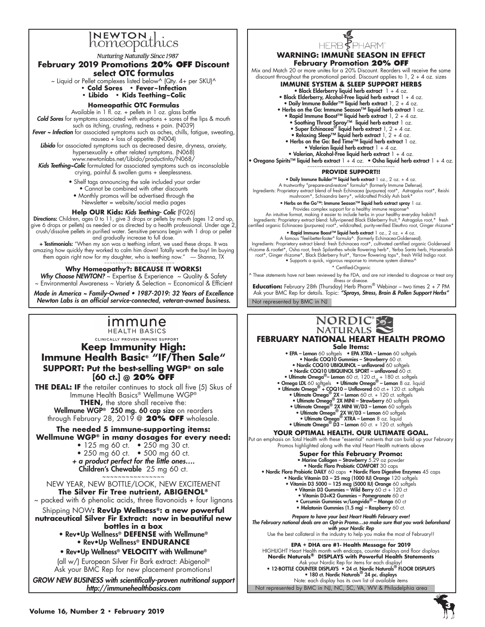

**Nurturing Naturally Since 1987** 

# **February 2019 Promotions 20% off Discount**

**select OTC formulas** 

- $\sim$  Liquid or Pellet complexes listed below^ (Qty. 4+ per SKU)^ **• Cold Sores • Fever~Infection** 
	- **Libido Kids Teething~Colic**

# **Homeopathic OTC Formulas**

Available in 1 fl. oz. + pellets in 1 oz. glass bottle *Cold Sores* for symptoms associated with eruptions + sores of the lips & mouth

such as itching, crusting, redness + pain. (N039) *Fever ~ Infection* for associated symptoms such as aches, chills, fatigue, sweating, nausea + loss of appetite. (N004)

*Libido* for associated symptoms such as decreased desire, dryness, anxiety, hypersexuality + other related symptoms. (N068)

www.newtonlabs.net/Libido/productinfo/N068/ *Kids Teething~Colic* formulated for associated symptoms such as inconsolable crying, painful & swollen gums + sleeplessness.

- Shelf tags announcing the sale included your order
- Cannot be combined with other discounts
- Monthly promos will be advertised through the Newsletter = website/social media pages

# **Help OUR Kids:** *Kids Teething- Colic* (F026)

Directions: Children, ages 0 to 11, give 3 drops or pellets by mouth (ages 12 and up, give 6 drops or pellets) as needed or as directed by a health professional. Under age 2, crush/dissolve pellets in purified water. Sensitive persons begin with 1 drop or pellet and gradually increase to full dose.

+ Testimonials: "When my son was a teething infant, we used these drops. It was amazing how quickly they worked to calm him down! Totally worth the buy! Im buying them again right now for my daughter, who is teething now." - Shanna, TX ~~~~~~~~~~~~~~~~~~~~~~~~~

## **Why Homeopathy?: BECAUSE IT WORKS!**

Why Choose NEWTON? ~ Expertise & Experience ~ Quality & Safety ~ Environmental Awareness ~ Variety & Selection ~ Economical & Efficient

Made in America ~ Family-Owned • 1987-2019: 32 Years of Excellence *Newton Labs is an official service-connected, veteran-owned business.*



CLINICALLY PROVEN IMMUNE SUPPORT

**Keep Immunity High: Immune Health Basic® "IF/Then Sale" SUPPORT: Put the best-selling WGP® on sale [60 ct.] @ 20% OFF**

**THE DEAL: IF** the retailer continues to stock all five (5) Skus of Immune Health Basics® Wellmune WGP® **THEN,** the store shall receive the: Wellmune WGP® 250 mg. 60 cap size on reorders through February 28, 2019 @ **20% OFF** wholesale.

**The needed 5 immune-supporting items: Wellmune WGP® in many dosages for every need:**

- 125 mg 60 ct. 250 mg 30 ct.
- 250 mg 60 ct. 500 mg 60 ct.

*+ a product perfect for the little ones….*  Children's Chewable 25 mg 60 ct.

~~~~~~~~~~~~~~~~ NEW YEAR, NEW BOTTLE/LOOK, NEW EXCITEMENT **The Silver Fir Tree nutrient, ABIGENOL®**

 $\sim$  packed with 6 phenolic acids, three flavonoids + four lignans

Shipping NOW**: RevUp Wellness®: a new powerful nutraceutical Silver Fir Extract: now in beautiful new** 

**bottles in a box** • Rev•Up Wellness® **DEFENSE** with Wellmune® • Rev•Up Wellness® **ENDURANCE** 

• Rev•Up Wellness® **VELOCITY** with Wellmune®

(all w/) European Silver Fir Bark extract: Abigenol® Ask your BMC Rep for new placement promotions!

*GROW NEW BUSINESS with scientifically-proven nutritional support http://immunehealthbasics.com*



### **WARNING: IMMUNE SEASON IN EFFECT February Promotion 20% OFF**

Mix and Match 20 or more unites for a 20% Discount. Reorders will receive the same discount throughout the promotional period. Discount applies to 1, 2 + 4 oz. sizes

# **IMMUNE SYSTEM & SLEEP SUPPORT HERBS**

- Black Elderberry liquid herb extract  $1 + 4$  oz.
- Black Elderberry, Alcohol-Free liquid herb extract  $1 + 4$  oz.
- Daily Immune Builder™ liquid herb extract 1, 2 + 4 oz.
- Herbs on the Go: Immune Season™ liquid herb extract 1 oz. • Rapid Immune Boost™ liquid herb extract 1, 2 + 4 oz.
	-
	- Soothing Throat Spray™ liquid herb extract 1 oz. Super Echinacea® liquid herb extract 1, 2 + 4 oz.
	- Relaxing Sleep™ liquid herb extract 1, 2 + 4 oz.
	- Herbs on the Go: Bed Time™ liquid herb extract 1 oz.
	- Valerian liquid herb extract  $1 + 4$  oz. • Valerian, Alcohol-Free liquid herb extract  $1 + 4$  oz.

• Oregano Spirits™ liquid herb extract 1 + 4 oz. • Osha liquid herb extract 1 + 4 oz.

#### ~~~~~~~~~~~~~~~~~~~~~~~~~~~~~~~~ **PROVIDE SUPPORT!!**

• Daily Immune Builder™ liquid herb extract 1 oz., 2 oz. + 4 oz. A trustworthy "prepare-and-restore" formula^ (formerly Immune Defense).<br>Ingredients: Proprietary extract blend of fresh Echinacea (purpurea) root\*, Reishi (hypredienty setra mushroom<br>https://wildcrafted Prickly Ash bark\*

• Herbs on the Go™: Immune Season™ liquid herb extract spray 1 oz.<br>Provides complex support for a healthy immune response^

An intuitive format, making it easier to include herbs in your healthy everyday habits!!<br>Ingredients: Proprietary extract blend: fully-ripened Black Elderberry fruit,\* Astragalus root,\* fresh<br>\*eartified organic Echinacea

# • Rapid Immune Boost™ liquid herb extract 1 oz., 2 oz. + 4 oz. A famous "feel-better-faster" formula^. (formerly Echinacea-Goldenseal).

Ingredients: Proprietary extract blend: fresh Echinacea root\*, cultivated certified organic Goldenseal rhizome & rootlet\*, Osha root, fresh Spilanthes whole flowering herb\*, Yerba Santa herb, Horseradish root\*, Ginger rhizome\*, Black Elderberry fruit\*, Yarrow flowering tops\*, fresh Wild Indigo root. • Supports a quick, vigorous response to immune system distress^

\* Certified-Organic

^ These statements have not been reviewed by the FDA, and are not intended to diagnose or treat any illness or disease.

Not represented by BMC in NJ **Education:** February 28th (Thursday) Herb Pharm® Webinar – two times 2 + 7 PM Ask your BMC Rep for details. Topic: *"Sprays, Stress, Brain & Pollen Support Herbs"*

# NORDIC S-

**FEBRUARY National Heart Health Promo Sale Items:** • EPA - Lemon 60 softgels • EPA XTRA - Lemon 60 softgels

• Nordic COQ10 Gummies - Strawberry 60 ct. • Nordic COQ10 UBIQUINOL - unflavored 60 softge • Nordic COQ10 UBIQUINOL SPORT – unflavored 60 ct. • Ultimate Omega<sup>®</sup> – Lemon 60 ct, 120 ct., + 180 ct. softgels<br>
• Omega LDL 60 softgels • Ultimate Omega<sup>®</sup> – Lemon 8 oz. liquid<br>
• Ultimate Omega<sup>®</sup> + COQ10 – Unflavered 60 ct. + 120 ct. softgels<br>
• Ultimate Omega<sup>®</sup> 2X

## **YOUR OPTIMAL HEALTH. OUR ULTIMATE GOAL.**

Put an emphasis on Total Health with these "essential" nutrients that can build up your February Promos highlighted along with the vital Heart Health nutrients above

#### **Super for this February Promo:**  • Marine Collagen – Strawberry 5.29 oz powder • Nordic Flora Probiotic COMFORT 30 caps • Nordic Flora Probiotic DAILY 60 caps • Nordic Flora Digestive Enzymes 45 caps

• Nordic Vitamin D3 – 25 mcg (1000 IU) Orange 120 softgels • Vitamin D3 5000 – 125 mcg (5000 IU) Orange 60 softgels • Vitamin D3 Gummies – Wild Berry 60 ct + 120 ct • Vitamin D3+K2 Gummies – Pomegranate 60 ct • Curcumin Gummies w/Longvida® – Mango 60 ct

- Melatonin Gummies (1.5 mg) Raspberry 60 ct.
- 

*Prepare to have your best Heart Health February ever! The February national deals are an Opt-in Promo…so make sure that you work beforehand with your Nordic Rep*

Use the best collateral in the industry to help you make the most of February!! ~~~~~~~~~~~~~~~~~~~~~~~~~~~~~~~

**EPA + DHA are #1- Health Message for 2019** HIGHIIGHT Heart Health month with endcaps, counter displays and floor displays<br>N**ordic Naturals<sup>®</sup> DISPLAYS with Powerful Health Statements<br>Pak your Nordic Rep for items for each display!<br>• 12-BOTTLE COUNTER DISPLAYS • 24** 

• 180 ct. Nordic Naturals® 24 pc. displays Note: each display has its own list of available items

Not represented by BMC in NJ, NC, SC, VA, WV & Philadelphia area

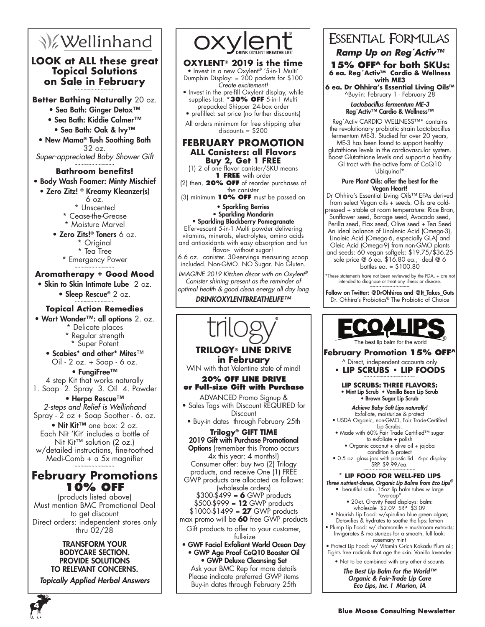# **V**ellinhand

# **LOOK at ALL these great Topical Solutions on Sale in February** ~~~~~~~~~~~~~~

**Better Bathing Naturally** 20 oz.

- Sea Bath: Ginger Detox™
- Sea Bath: Kiddie Calmer™ • Sea Bath: Oak & Ivy™
- New Mama® Tush Soothing Bath 32 oz.

*Super-appreciated Baby Shower Gift* ~~~~~~~~~~~~~~

# **Bathroom benefits!**

# • Body Wash Foamer: Minty Mischief

• Zero Zitz! ® Kreamy Kleanzer(s) 6 oz. \* Unscented \* Cease-the-Grease

\* Moisture Marvel

• Zero Zits!® Toners 6 oz. \* Original

\* Tea Tree \* Emergency Power ~~~~~~~~~~~~~~

# **Aromatherapy + Good Mood**

• Skin to Skin Intimate Lube 2 oz. • Sleep Rescue® 2 oz.

#### ~~~~~~~~~~~~~~ **Topical Action Remedies**

• Wart Wonder™: all options 2. oz. \* Delicate places

Regular strength

\* Super Potent

• Scabies\* and other\* Mites™ Oil - 2 oz. + Soap - 6 oz.

• FungiFree™ 4 step Kit that works naturally 1. Soap 2. Spray 3. Oil 4. Powder

# • Herpa Rescue™ *2-steps and Relief is Wellinhand* Spray - 2 oz + Soap Soother - 6. oz.

• Nit Kit™ one box: 2 oz. Each Nit 'Kit' includes a bottle of Nit Kit™ solution (2 oz.) w/detailed instructions, fine-toothed Medi-Comb + a 5x magnifier

# ~~~~~~~~~~~~~~ **February Promotions 10% OFF**

(products listed above) Must mention BMC Promotional Deal to get discount Direct orders: independent stores only thru 02/28

# TRANSFORM YOUR BODYCARE SECTION. PROVIDE SOLUTIONS TO RELEVANT CONCERNS.

*Topically Applied Herbal Answers*



# **OXYLENT® 2019 is the time**

• Invest in a new Oxylent® '5-in-1 Multi' Dumpbin Display: = 200 packets for \$100 *Create excitement!*

• Invest in the pre-fill Oxylent display, while supplies last: \***30% OFF** 5-in-1 Multi prepacked Shipper 24-box order

• prefilled: set price (no further discounts) All orders minimum for free shipping after discounts = \$200

**February Promotion ALL Canisters: all Flavors**

**Buy 2, Get 1 FREE** (1) 2 of one flavor canister/SKU means **1 free** with order

(2) then, **20% OFF** of reorder purchases of the canister

(3) minimum **10% OFF** must be passed on

#### • Sparkling Berries • Sparkling Mandarin

• Sparkling Blackberry Pomegranate Effervescent 5-in-1 Multi powder delivering vitamins, minerals, electrolytes, amino acids and antioxidants with easy absorption and fun flavor- without sugar! 6.6 oz. canister. 30-servings measuring scoop

included. Non-GMO. NO Sugar. No Gluten. *IMAGINE 2019 Kitchen décor with an Oxylent®*

*Canister shining present as the reminder of optimal health & good clean energy all day long*

DRINKOXYLENTBREATHELIFE™

# **TRILOGY® LINE DRIVE in February** WIN with that Valentine state of mind! **20% OFF LINE DRIVE or Full-size Gift with Purchase** ADVANCED Promo Signup & • Sales Tags with Discount REQUIRED for **Discount** • Buy-in dates through February 25th **Trilogy® GIFT TIME** 2019 Gift with Purchase Promotional **Options** (remember this Promo occurs 4x this year: 4 months!) Consumer offer: buy two (2) Trilogy products, and receive One (1) FRE GWP products are allocated as follows: (wholesale orders) \$300-\$499 = **6** GWP products \$500-\$999 = **12** GWP products \$1000-\$1499 = **27** GWP products max promo will be **60** free GWP products Gift products to offer to your customer, full-size • GWF Facial Exfoliant World Ocean Day • GWP Age Proof CoQ10 Booster Oil • GWP Deluxe Cleansing Set Ask your BMC Rep for more details

Please indicate preferred GWP items Buy-in dates through February 25th

# **ESSENTIAL FORMULAS**

*Ramp Up on Reg´Activ™*

**15% OFF^ for both SKUs: 6 ea. Reg´Activ™ Cardio & Wellness with ME3**

**6 ea. Dr Ohhira's Essential Living Oils™** ^Buy-in: February 1 - February 28

> Lactobacillus fermentum ME-3 Reg´Activ™ Cardio & Wellness™

Reg´Activ CARDIO WELLNESS™\* contains the revolutionary probiotic strain Lactobacillus fermentum ME-3. Studied for over 20 years, ME-3 has been found to support healthy glutathione levels in the cardiovascular system. Boost Glutathione levels and support a healthy GI tract with the active form of CoQ10 Ubiquinol\*

## Pure Plant Oils: offer the best for the Vegan Heart!

Dr Ohhira's Essential Living Oils™ EFAs derived from select Vegan oils + seeds. Oils are coldpressed + stable at room temperature: Rice Bran, Sunflower seed, Borage seed, Avocado seed, Perilla seed, Flax seed, Olive seed + Tea Seed An ideal balance of Linolenic Acid (Omega-3), Linoleic Acid (Omega-6, especially GLA) and Oleic Acid (Omega-9) from non-GMO plants and seeds: 60 vegan softgels: \$19.75/\$36.25 sale price @ 6 ea. \$16.80 ea.; deal @ 6

bottles ea. = \$100.80

\*These statements have not been reviewed by the FDA, + are not intended to diagnose or treat any illness or disease. -<br>~~~~~~~~~~~~~~

Follow on Twitter: @DrOhhiras and @It\_Takes\_Guts Dr. Ohhira's Probiotics® The Probiotic of Choice



**February Promotion 15% OFF^**

- ^ Direct, independent accounts only • LIP SCRUBS • LIP FOODS
	- **Lip Scrubs: three flavors:**  • Mint Lip Scrub • Vanilla Bean Lip Scrub • Brown Sugar Lip Scrub

*Achieve Baby Soft Lips naturally!* Exfoliate, moisturize & protect

• USDA Organic, non-GMO, Fair Trade-Certified Lip Scrubs.

- Made with 60% Fair Trade Certified™ sugar to exfoliate + polish
	- Organic coconut + olive oil + jojoba condition & protect
- 0.5 oz. glass jars with plastic lid. 6-pc display SRP. \$9.99/ea.<br>~~~~~~~~~~~~~~~~~~

# **\* Lip Food FOR WELL-FED LIPS**

*Three nutrient-dense, Organic Lip Balms from Eco Lips®* • beautiful satin .15oz lip balm tubes w large

- "overcap" • 20-ct. Gravity Feed displays: balm: wholesale \$2.09 SRP \$3.09
- Nourish Lip Food: w/spirulina blue green algae; Detoxifies & hydrates to soothe the lips: lemon
- Plump Lip Food: w/ chamomile + mushroom extracts; Invigorates & moisturizes for a smooth, full look: rosemary mint
- Protect Lip Food: w/ Vitamin C-rich Kakadu Plum oil; Fights free radicals that age the skin. Vanilla lavender • Not to be combined with any other discounts

*The Best Lip Balm for the World™ Organic & Fair-Trade Lip Care Eco Lips, Inc. I Marion, IA*

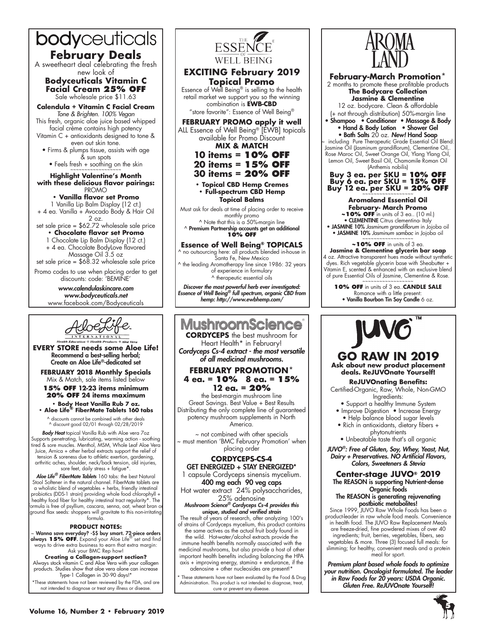

**February Deals**<br>A sweetheart deal celebrating the fresh new look of

**Bodyceuticals Vitamin C Facial Cream 25% OFF** Sale wholesale price \$11.63

**Calendula + Vitamin C Facial Cream** *Tone & Brighten. 100% Vegan* This fresh, organic aloe juice based whipped

facial crème contains high potency Vitamin C + antioxidants designed to tone & even out skin tone.

• Firms & plumps tissue, assists with age & sun spots

• Feels fresh  $+$  soothing on the skin

**Highlight Valentine's Month with these delicious flavor pairings:**  PROMO

**• Vanilla flavor set Promo**

1 Vanilla Lip Balm Display (12 ct.) + 4 ea. Vanilla + Avocado Body & Hair Oil

2 oz. set sale price = \$62.72 wholesale sale price **• Chocolate flavor set Promo**

1 Chocolate Lip Balm Display (12 ct.) + 4 ea. Chocolate BodyLove flavored

Massage Oil 3.5 oz set sale price = \$68.32 wholesale sale price

Promo codes to use when placing order to get discounts: code: 'BEMINE'

> *www.calendulaskincare.com www.bodyceuticals.net* www.facebook.com/Bodyceuticals



**EVERY STORE needs some Aloe Life!** Recommend a best-selling herbal; Create an Aloe Life®-dedicated set

**FEBRUARY 2018 Monthly Specials** Mix & Match, sale items listed below

**15% OFF 12-23 items minimum 20% OFF 24 items maximum**

**• Body Heat Vanilla Rub 7 oz. • Aloe Life® FiberMate Tablets 160 tabs**

^ discounts cannot be combined with other deals ^ discount good 02/01 through 02/28/2019

*Body Heat* topical Vanilla Rub with Aloe vera 7oz Supports penetrating, lubricating, warming action - soothing tired & sore muscles. Menthol, MSM, Whole Leaf Aloe Vera Juice, Arnica + other herbal extracts support the relief of tension & soreness due to athletic exertion, gardening, arthritic aches, shoulder, neck/back tension, old injuries, sore feet, daily stress + fatigue\*

*Aloe Life® FiberMate Tablets* 160 tabs: the best Natural Stool Softener in the natural channel. FiberMate tablets are a wholistic blend of vegetables + herbs, friendly intestinal probiotics (DDS-1 strain) providing whole food chlorophyll + healthy food fiber for healthy intestinal tract regularity\*. The ormula is free of psyllium, cascara, senna, oat, wheat bran o ground flax seeds: shoppers will gravitate to this non-irritating formula.

#### **PRODUCT NOTES:**

~ Wanna save everyday? -\$\$ buy smart. 72-piece orders always **15% OFF**. Expand your Aloe Life® set and find ways to drive extra business to earn that extra margin: Ask your BMC Rep how!

**Creating a Collagen-support section?**  Always stock vitamin C and Aloe Vera with your collagen products. Studies show that aloe vera alone can increase Type-1 Collagen in 30-90 days!\*

\*These statements have not been reviewed by the FDA, and are not intended to diagnose or treat any illness or disease.



# **EXCITING February 2019 Topical Promo**

Essence of Well Being® is selling to the health retail market we support you so the winning combination is **EWB-CBD**

"store favorite": Essence of Well Being®

**FEBRUARY PROMO apply it well** ALL Essence of Well Being® [EWB] topicals available for Promo Discount **MIX & MATCH**

**10 items = 10% OFF 20 items = 15% OFF**

**30 items = 20% OFF**

**• Topical CBD Hemp Cremes • Full-spectrum CBD Hemp Topical Balms**

Must ask for deals at time of placing order to receive monthly promo

^ Note that this is a 50%-margin line  $^{\wedge}$  Premium Partnership accounts get an additional **10% OFF**

# **Essence of Well Being® TOPICALS**

no outsourcing here: all products blended in-house in Santa Fe, New Mexico

^ the leading Aromatherapy line since 1986: 32 years of experience in formulary ^ therapeutic essential oils

*Discover the most powerful herb ever investigated: Essence of Well Being® full spectrum, organic CBD from hemp: http://www.ewbhemp.com/*

# **MushroomScience**

**CORDYCEPS** the best mushroom for Heart Health\* in February! Cordyceps Cs-4 extract - the most versatile *of all medicinal mushrooms.*

# **FEBRUARY PROMOTION\* 4 ea. = 10% 8 ea. = 15% 12 ea. = 20%**

the best-margin mushroom line Great Savings. Best Value + Best Results Distributing the only complete line of guaranteed potency mushroom supplements in North America.

~ not combined with other specials ~ must mention 'BMC February Promotion' when placing order

# **Cordyceps-Cs-4**

GET ENERGIZED + STAY ENERGIZED\* 1 capsule Cordyceps sinensis mycelium. 400 mg each 90 veg caps

Hot water extract 24% polysaccharides,

25% adenosine *Mushroom Science® Cordyceps Cs-4 provides this unique, studied and verified strain*

The result of years of research, after analyzing 100's of strains of Cordyceps mycelium, this product contains the same actives as the actual fruit body found in

the wild. Hot-water/alcohol extracts provide the immune health benefits normally associated with the medicinal mushrooms, but also provide a host of other

important health benefits including balancing the HPA axis + improving energy, stamina + endurance, if the adenosine + other nucleosides are present!\*

These statements have not been evaluated by the Food & Drug Administration. This product is not intended to diagnose, treat, cure or prevent any disease.



**February-March Promotion\***

2 months to promote these profitable products **The Bodycare Collection Jasmine & Clementine** 12 oz. bodycare. Clean & affordable (+ not through distribution) 50%-margin line • Shampoo • Conditioner • Massage & Body • Hand & Body Lotion • Shower Gel • Bath Salts 20 oz. *New!* Hand Soap including Pure Therapeutic Grade Essential Oil Blend Jasmine Oil (Jasminum grandiflorum), Clementine Oil,. Rose Maroc Oil, Sweet Orange Oil, Ylang Ylang Oil, Lemon Oil, Sweet Basil Oil, Chamomile Roman Oil (Anthemis nobilis) **Buy 3 ea. per SKU = 10% OFF**

# **Buy 6 ea. per SKU = 15% OFF Buy 12 ea. per SKU = 20% OFF** ~~~~~~~~~~~~~~~~~~

### **Aromaland Essential Oil February- March Promo**

**~10% OFF** in units of 3 ea.. (10 ml.) • CLEMENTINE Citrus clementina- Italy

• JASMINE 10% *Jasminum grandiflorum* in Jojoba oil • JASMINE 10% *Jasminum sambac* in Jojoba oil

# **~10% OFF** in units of 3 ea.

**Jasmine & Clementine glycerin bar soap** 4 oz. Attractive transparent hues made without synthetic dyes. Rich vegetable glycerin base with Sheabutter + Vitamin E, scented & enhanced with an exclusive blend of pure Essential Oils of Jasmine, Clementine & Rose.

**10% OFF** in units of 3 ea..**CANDLE SALE**<br>Romance with a little present:<br>• Vanilla Bourbon Tin Soy Candle 6 oz.



# **Go raw in 2019 Ask about new product placement deals. ReJUVOnate Yourself!**

## **ReJUVOnating Benefits:**

- Certified-Organic, Raw, Whole, Non-GMO Ingredients:
- Support a healthy Immune System • Improve Digestion • Increase Energy
- Help balance blood sugar levels • Rich in antioxidants, dietary fibers +
	- phytonutrients
	- Unbeatable taste that's all organic

*JUVO®*: Free of Gluten, Soy, Whey, Yeast, Nut, *Dairy + Preservatives. NO Artificial Flavors, Colors, Sweeteners & Stevia*

#### **Center-stage JUVO® 2019** The REASON is supporting Nutrient-dense Organic foods

#### The REASON is generating rejuvenating postbiotic metabolites!

Since 1999, JUVO Raw Whole Foods has been a product-leader in raw whole food meals. Convenience in health food. The JUVO Raw Replacement Meals are freeze-dried, fine powdered mixes of over 40 ingredients; fruit, berries, vegetables, fibers, sea vegetables & more. Three (3) focused full meals: for slimming; for healthy, convenient meals and a protein meal for sport.

*Premium plant based whole foods to optimize your nutrition. Oncologist formulated. The leader*  in Raw Foods for 20 years: USDA Organic. Gluten Free. ReJUVOnate Yourself!



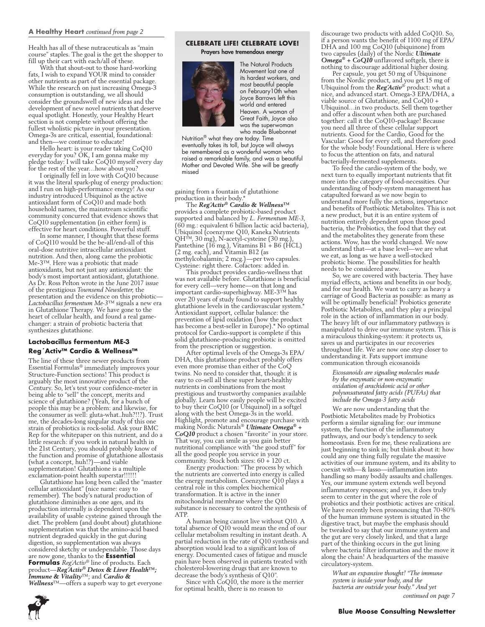#### **A Healthy Heart** *continued from page 2*

Health has all of these nutraceuticals as "main course" staples. The goal is the get the shopper to fill up their cart with each/all of these.

With that shout-out to those hard-working fats, I wish to expand YOUR mind to consider other nutrients as part of the essential package. While the research on just increasing Omega-3 consumption is outstanding, we all should consider the groundswell of new ideas and the development of new novel nutrients that deserve equal spotlight. Honestly, your Healthy Heart section is not complete without offering the fullest wholistic picture in your presentation. Omega-3s are critical, essential, foundational: and then—we continue to educate!

Hello heart: is your reader taking CoQ10 everyday for you? OK, I am gonna make my pledge today: I will take CoQ10 myself every day for the rest of the year…how about you?

I originally fell in love with CoO10 because it was the literal spark-plug of energy production: and I run on high-performance energy! As our industry introduced Ubiquinol as the active antioxidant form of CoQ10 and made both household names, the mainstream scientific community concurred that evidence shows that CoQ10 supplementation (in either form) is effective for heart conditions. Powerful stuff.

In some manner, I thought that these forms of CoQ110 would be the be-all/end-all of this oral-dose nutritive intracellular antioxidant nutrition. And then, along came the probiotic Me-3™. Here was a probiotic that made antioxidants, but not just any antioxidant: the body's most important antioxidant, glutathione. As Dr. Ross Pelton wrote in the June 2017 issue of the prestigious *Townsend Newsletter*, the presentation and the evidence on this probiotic— *Lactobacillus fermentum Me-3*™ signals a new era in Glutathione Therapy. We have gone to the heart of cellular health, and found a real gamechanger: a strain of probiotic bacteria that synthesizes glutathione.

## **Lactobacillus fermentum ME-3 Reg´Activ™ Cardio & Wellness™**

The line of these three newer products from Essential Formulas® immediately improves your Structure-Function sections! This product is arguably the most innovative product of the Century. So, let's test your confidence-meter in being able to "sell" the concept, merits and science of glutathione? (Yeah, for a bunch of people this may be a problem: and likewise, for the consumer as well: gluta-what..huh?!!?). Trust me, the decades-long singular study of this one strain of probiotics is rock-solid. Ask your BMC Rep for the whitepaper on this nutrient, and do a little research: if you work in natural health in the 21st Century, you should probably know of the function and promise of glutathione allostasis (what a concept, huh!?)—and viable supplementation! Glutathione is a multiple exclamation-point health superstar!!!!!!

Glutathione has long been called the "master cellular antioxidant" (nice name: easy to remember). The body's natural production of glutathione diminishes as one ages, and its production internally is dependent upon the availability of usable cysteine gained through the diet. The problem (and doubt about) glutathione supplementation was that the amino-acid based nutrient degraded quickly in the gut during digestion, so supplementation was always considered sketchy or undependable. Those days are now gone, thanks to the **Essential Formulas** *Reg´Activ*® line of products. Each product—*Reg´Activ® Detox & Liver Health™; Immune & Vitality*™; and *Cardio & Wellness*™—offers a superb way to get everyone

### **Celebrate Life! Celebrate Love!**  Prayers have tremendous energy



The Natural Products Movement lost one of its hardest workers, and most beautiful people on February10th when Joyce Barrows left this world and entered Heaven. A woman of Great Faith, Joyce also was the superwoman who made Bluebonnet

Nutrition® what they are today. Time eventually takes its toll, but Joyce will always be remembered as a wonderful woman who raised a remarkable family, and was a beautiful Mother and Devoted Wife. She will be greatly missed

gaining from a fountain of glutathione production in their body.\*

The *Reg´Activ® Cardio & Wellness™* provides a complete probiotic-based product supported and balanced by *L. Fermentum ME-3*, (60 mg.: equivalent 6 billion lactic acid bacteria), Ubiquinol (coenzyme Q10, Kaneka Nutrients QH™, 30 mg), N-acetyl-cysteine (30 mg.), Pantethine (16 mg.), Vitamins B1 + B6 (HCL) (2 mg. each), and Vitamin B12 (as methylcobalamin; 2 mcg.)—per two capsules. Cysteine: right there. Cofactors: added in.

This product provides cardio-wellness that was not available before. Glutathione is beneficial for every cell—very home—on that long and important cardio-superhighway. ME-3™ has over 20 years of study found to support healthy glutathione levels in the cardiovascular system.\* Antioxidant support, cellular balance: the prevention of lipid oxidation (how the product has become a best-seller in Europe).\* No optimal protocol for Cardio-support is complete if this solid glutathione-producing probiotic is omitted from the prescription or suggestion.

After optimal levels of the Omega-3s EPA/ DHA, this glutathione product probably offers even more promise than either of the CoQ twins. No need to consider that, though: it is easy to co-sell all these super heart-healthy nutrients in combinations from the most prestigious and trustworthy companies available globally. Learn how easily people will be excited to buy their CoQ10 (or Ubiquinol) in a softgel along with the best Omega-3s in the world. Highlight, promote and encourage purchase with making Nordic Naturals® *Ultimate Omega® + CoQ10* product a chosen "favorite" in your store. That way, you can smile as you gain better nutritional compliance with "the good stuff" for all the good people you service in your community. Stock both sizes: 60 + 120 ct.

Energy production: "The process by which the nutrients are converted into energy is called the energy metabolism. Coenzyme Q10 plays a central role in this complex biochemical transformation. It is active in the inner mitochondrial membrane where the Q10 substance is necessary to control the synthesis of **ATP** 

A human being cannot live without Q10. A total absence of Q10 would mean the end of our cellular metabolism resulting in instant death. A partial reduction in the rate of Q10 synthesis and absorption would lead to a significant loss of energy. Documented cases of fatigue and muscle pain have been observed in patients treated with cholesterol-lowering drugs that are known to decrease the body's synthesis of Q10".

Since with CoQ10, the more is the merrier for optimal health, there is no reason to

discourage two products with added CoQ10. So, if a person wants the benefit of 1100 mg of EPA/ DHA and 100 mg CoQ10 (ubiquinone) from two capsules (daily) of the Nordic *Ultimate Omega<sup>®</sup>* + *CoQ10* unflavored softgels, there is nothing to discourage additional higher dosing.

Per capsule, you get 50 mg of Ubiquinone from the Nordic product, and you get 15 mg of Ubiquinol from the *Reg´Activ*® product: what a nice, and advanced start. Omega-3 EPA/DHA, a viable source of Glutathione, and CoQ10 + Ubiquinol…in two products. Sell them together and offer a discount when both are purchased together: call it the CoQ10-package! Because you need all three of these cellular support nutrients. Good for the Cardio, Good for the Vascular: Good for every cell, and therefore good for the whole body! Foundational. Here is where to focus the attention on fats, and natural bacterially-fermented supplements.

To feed the cardio-system of the body, we next turn to equally important nutrients that fit more into the category of food-necessities. Our understanding of body-system management has catapulted forward as we now begin to understand more fully the actions, importance and benefits of Postbiotic Metabolites. This is not a new product, but it is an entire system of nutrition entirely dependent upon those good bacteria, the Probiotics, the food that they eat and the metabolites they generate from these actions. Wow, has the world changed. We now understand that—at a base level—we are what we eat, as long as we have a well-stocked probiotic biome. The possibilities for health needs to be considered anew.

So, we are covered with bacteria. They have myriad effects, actions and benefits in our body, and for our health. We want to carry as heavy a carriage of Good Bacteria as possible: as many as will be optimally beneficial! Probiotics generate Postbiotic Metabolites, and they play a principal role in the action of inflammation in our body. The heavy lift of our inflammatory pathways is manipulated to drive our immune system. This is a miraculous thinking-system: it protects us, saves us and participates in our recoveries throughout life. We are now one step closer to understanding it. Fats support immune communication through eicosanoids

*Eicosanoids are signaling molecules made by the enzymatic or non-enzymatic oxidation of arachidonic acid or other polyunsaturated fatty acids (PUFAs) that include the Omega-3 fatty acids*

We are now understanding that the Postbiotic Metabolites made by Probiotics perform a similar signaling for: our immune system, the function of the inflammatory pathways, and our body's tendency to seek homeostasis. Even for me, these realizations are just beginning to sink in; but think about it: how could any one thing fully regulate the massive activities of our immune system, and its ability to coexist with—& lasso—inflammation into handling so many bodily assaults and challenges. Yes, our immune system extends well beyond inflammatory responses; and yes, it does truly seem to center in the gut where the role of probiotics and their postbiotic actives are critical. We have recently been pronouncing that 70-80% of the human immune system is situated in the digestive tract, but maybe the emphasis should be tweaked to say that our immune system and the gut are very closely linked, and that a large part of the thinking occurs in the gut lining where bacteria filter information and the move it along the chain! A headquarters of the massive circulatory-system.

*What an expansive thought! "The immune system is inside your body, and the bacteria are outside your body." And yet continued on page 7*

**Blue Moose Consulting Newsletter**

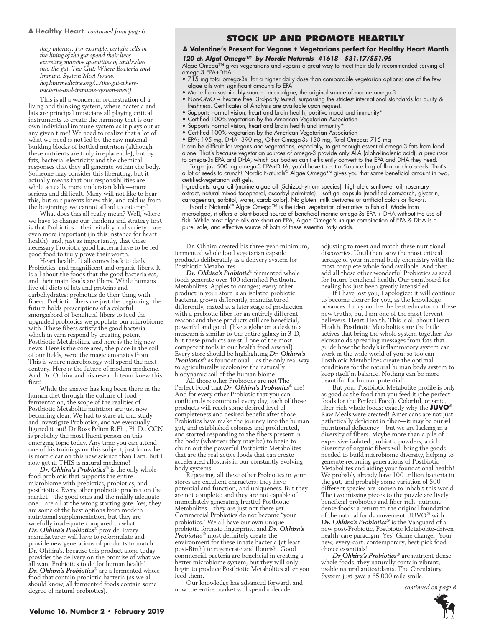*they interact. For example, certain cells in the lining of the gut spend their lives excreting massive quantities of antibodies into the gut. The Gut: Where Bacteria and Immune System Meet (www. hopkinsmedicine.org/.../the-gut-wherebacteria-and-immune-system-meet)*

This is all a wonderful orchestration of a living and thinking system, where bacteria and fats are principal musicians all playing critical instruments to create the harmony that is our own individual immune system as it plays out at any given time! We need to realize that a lot of what we need is not led by the raw material building blocks of bottled nutrition (although these nutrients are truly irreplaceable), but by fats, bacteria, electricity and the chemical responses that they all generate within the body. Someone may consider this liberating, but it actually means that our responsibilities are while actually more understandable—more serious and difficult. Many will not like to hear this, but our parents knew this, and told us from the beginning: we cannot afford to eat crap!

What does this all really mean? Well, where we have to change our thinking and strategy first is that Probiotics—their vitality and variety—are even more important (in this instance for heart health); and, just as importantly, that these necessary Probiotic good bacteria have to be fed good food to truly prove their worth.

Heart health. It all comes back to daily Probiotics, and magnificent and organic fibers. It is all about the foods that the good bacteria eat, and their main foods are fibers. While humans live off diets of fats and proteins and carbohydrates: probiotics do their thing with fibers. Prebiotic fibers are just the beginning: the future holds prescriptions of a colorful smorgasbord of beneficial fibers to feed the upgraded probiotics we populate our microbiome with. These fibers satisfy the good bacteria which in turn respond by creating potent Postbiotic Metabolites, and here is the big new news. Here is the core area, the place in the soil of our fields, were the magic emanates from. This is where microbiology will spend the next century. Here is the future of modern medicine. And Dr. Ohhira and his research team knew this first!

While the answer has long been there in the human diet through the culture of food fermentation, the scope of the realities of Postbiotic Metabolite nutrition are just now becoming clear. We had to stare at, and study and investigate Probiotics, and we eventually figured it out! Dr Ross Pelton R.Ph., Ph.D., CCN is probably the most fluent person on this emerging topic today. Any time you can attend one of his trainings on this subject, just know he is more clear on this new science than I am. But I now get it. THIS is natural medicine!

*Dr. Ohhira's Probiotics*® is the only whole food probiotic that supports the entire microbiome with prebiotics, probiotics, and postbiotics. Every other probiotic product on the market—the good ones and the mildly adequate one—are all at the wrong starting gate. Yes, they are some of the best options from modern nutritional supplementation, but they are woefully inadequate compared to what Dr. Ohhira's Probiotics® provide. Every manufacturer will have to reformulate and provide new generations of products to match Dr. Ohhira's, because this product alone today provides the delivery on the promise of what we all want Probiotics to do for human health! *Dr. Ohhira's Probiotics*® are a fermented whole food that contain probiotic bacteria (as we all should know, all fermented foods contain some degree of natural probiotics).

# **Stock up and Promote Heartily**

## **A Valentine's Present for Vegans + Vegetarians perfect for Healthy Heart Month**

*120 ct. Algal Omega™ by Nordic Naturals #1618 \$31.17/\$51.95*

Algae Omega™ gives vegetarians and vegans a great way to meet their daily recommended serving of omega-3 EPA+DHA.

- 715 mg total omega-3s, for a higher daily dose than comparable vegetarian options; one of the few algae oils with significant amounts fo EPA
- Made from sustainably-sourced microalgae, the original source of marine omega-3
- Non-GMO + hexane free. 3rd-party tested, surpassing the strictest international standards for purity & freshness. Certificates of Analysis are available upon request.
- Supports normal vision, heart and brain health, positive mood and immunity\*
- Certified 100% vegetarian by the American Vegetarian Association
- Supports normal vision, heart and brain health and immunity\*
- Certified 100% vegetarian by the American Vegetarian Association

• EPA: 195 mg, DHA 390 mg, Other Omega-3s 130 mg, Total Omegas 715 mg It can be difficult for vegans and vegetarians, especially, to get enough essential omega-3 fats from food alone. That's because vegetarian sources of omega-3 provide only ALA (alpha-linolenic acid), a precursor

to omega-3s EPA and DHA, which our bodies can't efficiently convert to the EPA and DHA they need. To get just 500 mg omega-3 EPA+DHA, you'd have to eat a 5-ounce bag of flax or chia seeds. That's<br>a lot of seeds to crunch! Nordic Naturals® Algae Omega™ gives you that same beneficial amount in two,

certified-vegetarian soft gels. Ingredients: algal oil (marine algae oil [Schizochytrium species], high-oleic sunflower oil, rosemary

extract, natural mixed tocopherol, ascorbyl palmitate); - soft gel capsule [modified cornstarch, glycerin, carrageenan, sorbitol, water, carob color]. No gluten, milk derivates or artificial colors or flavors.<br>Nordic Naturals® Algae Omega™ is the ideal vegetarian alternative to fish oil. Made from

microalgae, it offers a plant-based source of beneficial marine omega-3s EPA + DHA without the use of fish. While most algae oils are short on EPA, Algae Omega's unique combination of EPA & DHA is a pure, safe, and effective source of both of these essential fatty acids.

Dr. Ohhira created his three-year-minimum, fermented whole food vegetarian capsule products deliberately as a delivery system for Postbiotic Metabolites.

*Dr. Ohhira's Probiotic*® fermented whole foods generate over 400 identified Postbiotic Metabolites. Apples to oranges; every other product in your store is an isolated probiotic bacteria, grown differently, manufactured differently, mated at a later stage of production with a prebiotic fiber for an entirely different reason: and these products still are beneficial, powerful and good. (like a globe on a desk in a museum is similar to the entire galaxy in 3-D, but these products are still one of the most competent tools in our health food arsenal). Every store should be highlighting *Dr. Ohhira's Probiotics*® as foundational—as the only real way to agriculturally recolonize the naturally biodynamic soil of the human biome!

All those other Probiotics are not The Perfect Food that *Dr. Ohhira's Probiotics*® are! And for every other Probiotic that you can confidently recommend every day, each of those products will reach some desired level of completeness and desired benefit after those Probiotics have make the journey into the human gut, and established colonies and proliferated, and started responding to the fibers present in the body (whatever they may be) to begin to churn out the powerful Postbiotic Metabolites that are the real active foods that can create accelerated allostasis in our constantly evolving body systems.

Repeating, all these other Probiotics in your stores are excellent characters: they have potential and function, and uniqueness. But they are not complete: and they are not capable of immediately generating fruitful Postbiotic Metabolites—they are just not there yet. Commercial Probiotics do not become "your probiotics." We all have our own unique probiotic forensic fingerprint, and *Dr. Ohhira's Probiotic*s® most definitely create the environment for these innate bacteria (at least post-Birth) to regenerate and flourish. Good commercial bacteria are beneficial in creating a better microbiome system, but they will only begin to produce Postbiotic Metabolites after you feed them.

Our knowledge has advanced forward, and now the entire market will spend a decade

adjusting to meet and match these nutritional discoveries. Until then, sow the most critical acreage of your internal body chemistry with the most complete whole food available. And then add all those other wonderful Probiotics as seed for future beneficial health. Our paintboard for healing has just been greatly intensified.

If I have lost you, I apologize: it will continue to become clearer for you, as the knowledge advances. I may not be the best educator on these new truths, but I am one of the most fervent believers. Heart Health. This is all about Heart Health. Postbiotic Metabolites are the little actives that bring the whole system together. As eicosanoids spreading messages from fats that guide how the body's inflammatory system can work in the wide world of you: so too can Postbiotic Metabolites create the optimal conditions for the natural human body system to keep itself in balance. Nothing can be more beautiful for human potential!

But your Postbiotic Metabolite profile is only as good as the food that you feed it (the perfect foods for the Perfect Food). Colorful, organic, fiber-rich whole foods: exactly why the **JUVO**® Raw Meals were created! Americans are not just pathetically deficient in fiber—it may be our #1 nutritional deficiency—but we are lacking in a diversity of fibers. Maybe more than a pile of expensive isolated probiotic powders, a rich diversity of organic fibers will bring the goods needed to build microbiome diversity, helping to generate recurring generations of Postbiotic Metabolites and aiding your foundational health! We probably already have 100 trillion bacteria in the gut, and probably some variation of 500 different species are known to inhabit this world. The two missing pieces to the puzzle are lively beneficial probiotics and fiber-rich, nutrientdense foods: a return to the original foundation of the natural foods movement. JUVO® with *Dr. Ohhira's Probiotics*® is the Vanguard of a new post-Probiotic, Postbiotic Metabolite-driven health-care paradigm. Yes! Game changer. Your new, every-cart, contemporary, best-pick food choice essentials!

*Dr Ohhira's Probiotics*® are nutrient-dense whole foods: they naturally contain vibrant, usable natural antioxidants. The Circulatory System just gave a 65,000 mile smile.

 *continued on page 8*